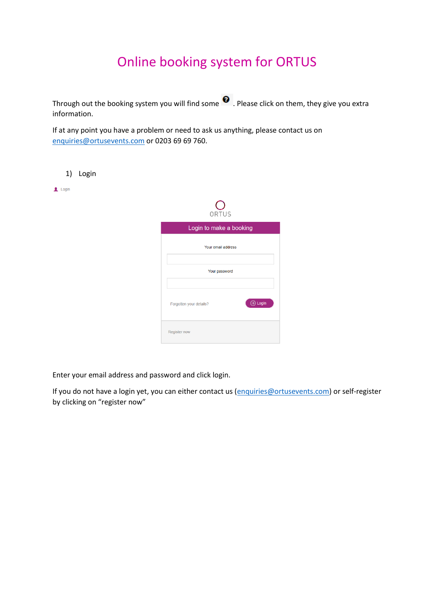# Online booking system for ORTUS

Through out the booking system you will find some  $\bullet$ . Please click on them, they give you extra information.

If at any point you have a problem or need to ask us anything, please contact us on [enquiries@ortusevents.com](mailto:enquiries@ortusevents.com) or 0203 69 69 760.

1) Login

 $\overline{\phantom{a}}$  Login



| Login to make a booking          |  |  |  |  |  |  |  |  |
|----------------------------------|--|--|--|--|--|--|--|--|
| Your email address               |  |  |  |  |  |  |  |  |
| Your password                    |  |  |  |  |  |  |  |  |
| Login<br>Forgotten your details? |  |  |  |  |  |  |  |  |
| <b>Register now</b>              |  |  |  |  |  |  |  |  |

Enter your email address and password and click login.

If you do not have a login yet, you can either contact us [\(enquiries@ortusevents.com\)](mailto:enquiries@ortusevents.com) or self-register by clicking on "register now"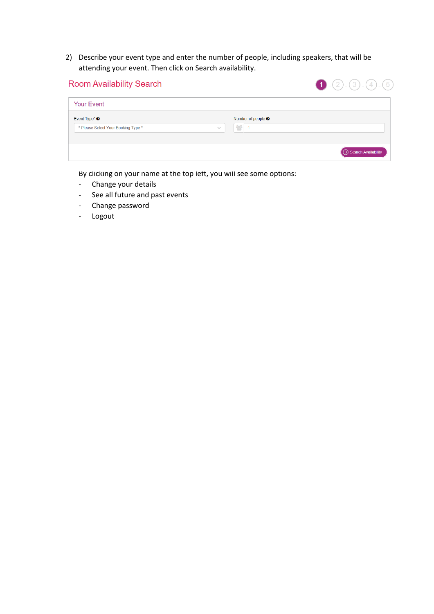2) Describe your event type and enter the number of people, including speakers, that will be attending your event. Then click on Search availability.

| <b>Room Availability Search</b>     |              |                           | $\bigodot$ $(2)$ $(3)$ $(4)$ $(5)$ |
|-------------------------------------|--------------|---------------------------|------------------------------------|
| <b>Your Event</b>                   |              |                           |                                    |
| Event Type* $\Theta$                |              | Number of people $\Theta$ |                                    |
| * Please Select Your Booking Type * | $\checkmark$ | 曫                         |                                    |
|                                     |              |                           | $\Theta$ Search Availability       |
|                                     |              |                           |                                    |

By clicking on your name at the top left, you will see some options:

- Change your details
- See all future and past events
- Change password
- Logout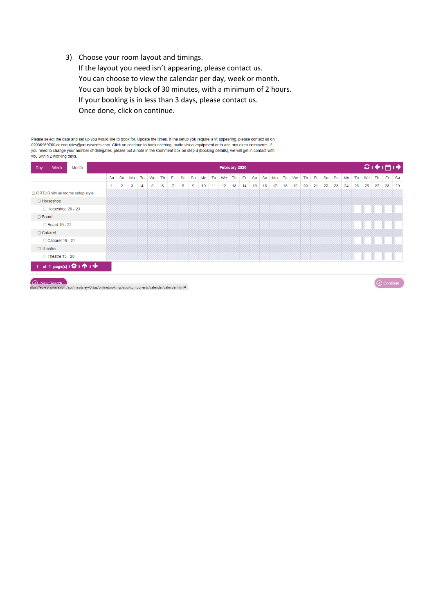3) Choose your room layout and timings.

If the layout you need isn't appearing, please contact us. You can choose to view the calendar per day, week or month. You can book by block of 30 minutes, with a minimum of 2 hours. If your booking is in less than 3 days, please contact us. Once done, click on continue.

Please select the date and set up you would like to book for. Update the times. If the setup you require isn't appearing, please contact us on 02036969760 or enquiries@ortusevents.com. Click on continue to book catering, audio visual equipment or to add any extra comments. If<br>you need to change your number of delegates, please put a note in the Comment box on ste you within 2 working days.

| <b>Week</b><br>Month<br>Day                                                                | February 2020                                                                                                                                                 |                |   |   |   |   |   |   |   |    |    | ○→ 門→ |    |      |    |       |    |    |    |    |    |    |    |    |    |    |    |        |    |
|--------------------------------------------------------------------------------------------|---------------------------------------------------------------------------------------------------------------------------------------------------------------|----------------|---|---|---|---|---|---|---|----|----|-------|----|------|----|-------|----|----|----|----|----|----|----|----|----|----|----|--------|----|
|                                                                                            | Fr.<br>Th Fr<br>-Fr<br>Tu We<br>Th.<br>Tu<br>We<br>Sa<br>Su<br>Tu We<br><b>Sa</b><br>Su<br>Tu<br>We<br><b>Th</b><br>Sa<br>Su Mo<br>Sa<br>Su<br>Mo<br>Mo<br>Mo |                |   |   |   |   |   |   |   |    |    |       |    | Th I |    | Fr Sa |    |    |    |    |    |    |    |    |    |    |    |        |    |
|                                                                                            | 1                                                                                                                                                             | $\overline{2}$ | 3 | 4 | 5 | 6 | 7 | 8 | 9 | 10 | 11 | 12    | 13 | 14   | 15 | 16    | 17 | 18 | 19 | 20 | 21 | 22 | 23 | 24 | 25 | 26 | 27 | 28     | 29 |
| ORTUS virtual rooms setup style                                                            |                                                                                                                                                               |                |   |   |   |   |   |   |   |    |    |       |    |      |    |       |    |    |    |    |    |    |    |    |    |    |    |        |    |
| $\Box$ Horseshoe                                                                           |                                                                                                                                                               |                |   |   |   |   |   |   |   |    |    |       |    |      |    |       |    |    |    |    |    |    |    |    |    |    |    |        |    |
| Horseshoe 20 - 23                                                                          |                                                                                                                                                               |                |   |   |   |   |   |   |   |    |    |       |    |      |    |       |    |    |    |    |    |    |    |    |    |    |    |        |    |
| $\Box$ Board                                                                               |                                                                                                                                                               |                |   |   |   |   |   |   |   |    |    |       |    |      |    |       |    |    |    |    |    |    |    |    |    |    |    |        |    |
| <b>Board 19 - 22</b>                                                                       |                                                                                                                                                               |                |   |   |   |   |   |   |   |    |    |       |    |      |    |       |    |    |    |    |    |    |    |    |    |    |    |        |    |
| $\Box$ Cabaret                                                                             |                                                                                                                                                               |                |   |   |   |   |   |   |   |    |    |       |    |      |    |       |    |    |    |    |    |    |    |    |    |    |    |        |    |
| Cabaret 19 - 21                                                                            |                                                                                                                                                               |                |   |   |   |   |   |   |   |    |    |       |    |      |    |       |    |    |    |    |    |    |    |    |    |    |    |        |    |
| $\Box$ Theatre                                                                             |                                                                                                                                                               |                |   |   |   |   |   |   |   |    |    |       |    |      |    |       |    |    |    |    |    |    |    |    |    |    |    |        |    |
| $\Box$ Theatre 13 - 20                                                                     |                                                                                                                                                               |                |   |   |   |   |   |   |   |    |    |       |    |      |    |       |    |    |    |    |    |    |    |    |    |    |    |        |    |
| 1 of 1 page(s) $\mathbf{R}$   $\mathbf{\hat{P}}$   $\mathbf{\hat{V}}$   $\mathbf{\hat{V}}$ |                                                                                                                                                               |                |   |   |   |   |   |   |   |    |    |       |    |      |    |       |    |    |    |    |    |    |    |    |    |    |    |        |    |
| $\sim$ $\sim$ $\sim$                                                                       |                                                                                                                                                               |                |   |   |   |   |   |   |   |    |    |       |    |      |    |       |    |    |    |    |    |    |    |    |    |    |    | $\sim$ |    |

(A) New Search<br>https://eu-api.priava.com/api/maudsley-Ortus/onlinebookings/app/components/calendar/calendar.html#

 $\Theta$  Continue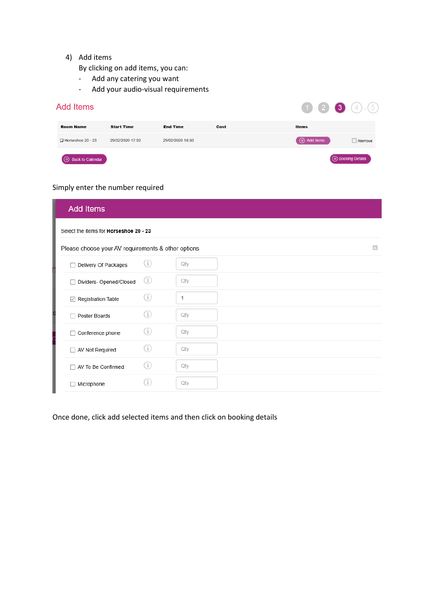### 4) Add items

By clicking on add items, you can:

- Add any catering you want
- Add your audio-visual requirements

#### **Add Items**  $(1)$ . $(2)$  $(3)(4)$  $\overline{5}$ **Room Name Start Time End Time** Cost **Items**  $\Box$  Horseshoe 20 - 23 29/02/2020 17:30 29/02/2020 18:30  $\bigodot$  Add Items **Remove**  $\bigoplus$  Booking Details  $\Theta$  Back to Calendar

# Simply enter the number required

| <b>Add Items</b>                                   |     |     |                         |
|----------------------------------------------------|-----|-----|-------------------------|
| Select the items for Horseshoe 20 - 23             |     |     |                         |
| Please choose your AV requirements & other options |     |     | $\overline{\mathbf{A}}$ |
| Delivery Of Packages                               | Œ   | Qty |                         |
| Dividers- Opened/Closed                            | (i) | Qty |                         |
| $\boxdot$ Registration Table                       | Œ   | 1   |                         |
| Poster Boards                                      | G)  | Qty |                         |
| Conference phone                                   | Œ   | Qty |                         |
| □ AV Not Required                                  | GD. | Qty |                         |
| AV To Be Confirmed                                 | Œ   | Qty |                         |
| Microphone                                         |     | Qty |                         |

Once done, click add selected items and then click on booking details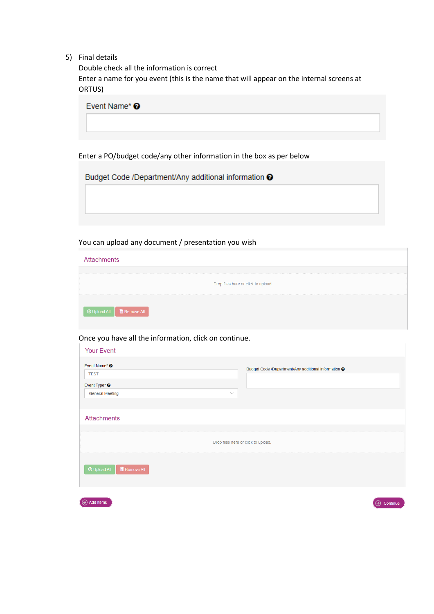5) Final details

Double check all the information is correct Enter a name for you event (this is the name that will appear on the internal screens at ORTUS)

| Event Name* <sup>O</sup> |  |  |
|--------------------------|--|--|
|                          |  |  |
|                          |  |  |

Enter a PO/budget code/any other information in the box as per below

Budget Code /Department/Any additional information <sup>O</sup>

You can upload any document / presentation you wish

| <b>Attachments</b>                  |
|-------------------------------------|
| Drop files here or click to upload. |
| <b>① Upload All</b> ■ Remove All    |

Once you have all the information, click on continue.

| <b>Your Event</b>                                                                                             |                                                      |
|---------------------------------------------------------------------------------------------------------------|------------------------------------------------------|
| Event Name* <sup>©</sup><br><b>TEST</b><br>Event Type* <sup>O</sup><br><b>General Meeting</b><br>$\checkmark$ | Budget Code /Department/Any additional information @ |
| <b>Attachments</b>                                                                                            |                                                      |
|                                                                                                               | Drop files here or click to upload.                  |
| $\frac{1}{2}$ Remove All<br>$\odot$ Upload All                                                                |                                                      |
| $\Theta$ Add Items                                                                                            | ⊖<br>Continue                                        |